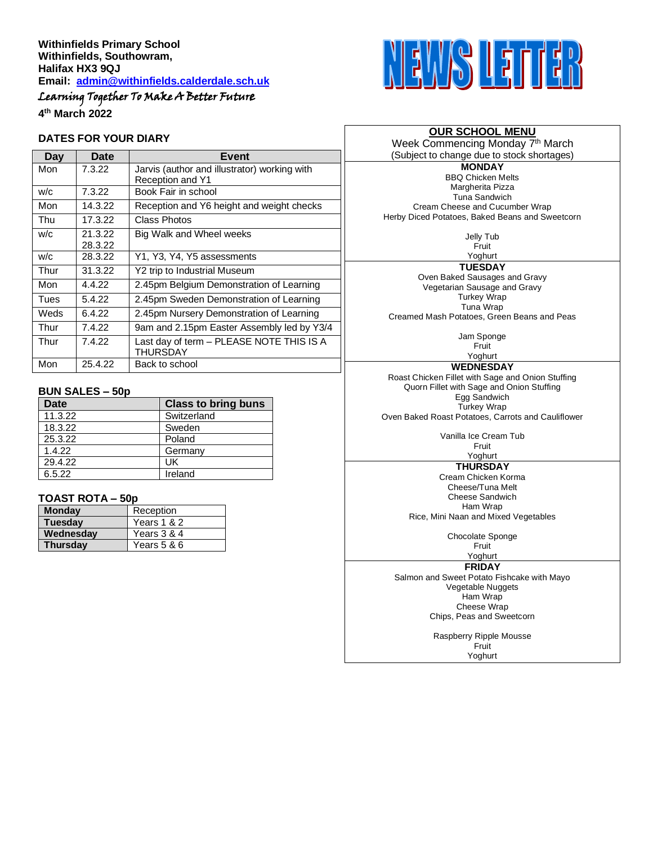# Learning Together To Make A Better Future

**4 th March 2022**

#### **DATES FOR YOUR DIARY**

| Day  | Date    | Event                                                       |
|------|---------|-------------------------------------------------------------|
| Mon  | 7.3.22  | Jarvis (author and illustrator) working with                |
|      |         | <b>Reception and Y1</b>                                     |
| W/C  | 7.3.22  | Book Fair in school                                         |
| Mon  | 14.3.22 | Reception and Y6 height and weight checks                   |
| Thu  | 17.3.22 | Class Photos                                                |
| W/C  | 21.3.22 | Big Walk and Wheel weeks                                    |
|      | 28.3.22 |                                                             |
| W/C  | 28.3.22 | Y1, Y3, Y4, Y5 assessments                                  |
| Thur | 31.3.22 | Y2 trip to Industrial Museum                                |
| Mon  | 4.4.22  | 2.45pm Belgium Demonstration of Learning                    |
| Tues | 5.4.22  | 2.45pm Sweden Demonstration of Learning                     |
| Weds | 6.4.22  | 2.45pm Nursery Demonstration of Learning                    |
| Thur | 7.4.22  | 9am and 2.15pm Easter Assembly led by Y3/4                  |
| Thur | 7.4.22  | Last day of term - PLEASE NOTE THIS IS A<br><b>THURSDAY</b> |
| Mon  | 25.4.22 | Back to school                                              |

#### **BUN SALES – 50p**

| <b>Date</b> | <b>Class to bring buns</b> |
|-------------|----------------------------|
| 11.3.22     | Switzerland                |
| 18.3.22     | Sweden                     |
| 25.3.22     | Poland                     |
| 1.4.22      | Germany                    |
| 29.4.22     | UK                         |
| 6.5.22      | Ireland                    |

#### **TOAST ROTA – 50p**

| <b>Monday</b>   | Reception   |  |
|-----------------|-------------|--|
| <b>Tuesday</b>  | Years 1 & 2 |  |
| Wednesday       | Years 3 & 4 |  |
| <b>Thursday</b> | Years 5 & 6 |  |



#### **OUR SCHOOL MENU** Week Commencing Monday 7<sup>th</sup> March

(Subject to change due to stock shortages)

**MONDAY** BBQ Chicken Melts Margherita Pizza Tuna Sandwich Cream Cheese and Cucumber Wrap Herby Diced Potatoes, Baked Beans and Sweetcorn

> Jelly Tub Fruit

Yoghurt **TUESDAY** Oven Baked Sausages and Gravy Vegetarian Sausage and Gravy Turkey Wrap Tuna Wrap

Creamed Mash Potatoes, Green Beans and Peas

Jam Sponge Fruit

Yoghurt **WEDNESDAY** Roast Chicken Fillet with Sage and Onion Stuffing Quorn Fillet with Sage and Onion Stuffing Egg Sandwich Turkey Wrap

Oven Baked Roast Potatoes, Carrots and Cauliflower

Vanilla Ice Cream Tub Fruit

### Yoghurt

**THURSDAY** Cream Chicken Korma Cheese/Tuna Melt Cheese Sandwich Ham Wrap

Rice, Mini Naan and Mixed Vegetables

Chocolate Sponge

Fruit Yoghurt

**FRIDAY**

Salmon and Sweet Potato Fishcake with Mayo Vegetable Nuggets Ham Wrap Cheese Wrap Chips, Peas and Sweetcorn

> Raspberry Ripple Mousse **Fruit** Yoghurt